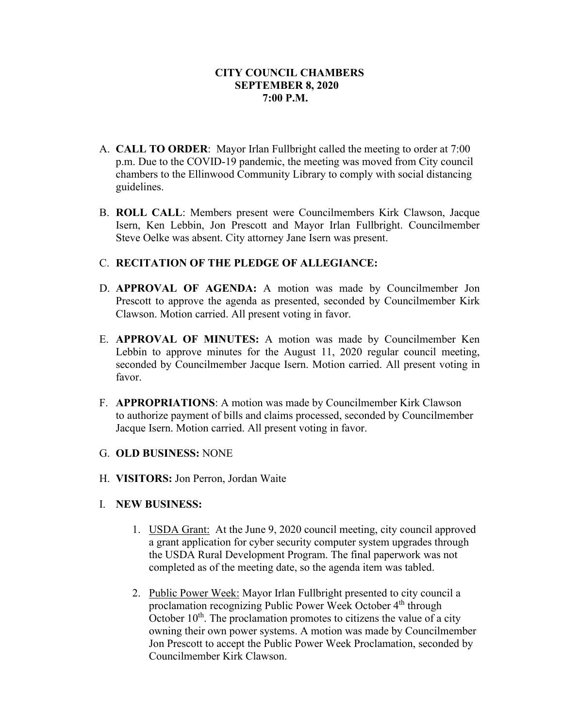- A. **CALL TO ORDER**: Mayor Irlan Fullbright called the meeting to order at 7:00 p.m. Due to the COVID-19 pandemic, the meeting was moved from City council chambers to the Ellinwood Community Library to comply with social distancing guidelines.
- B. **ROLL CALL**: Members present were Councilmembers Kirk Clawson, Jacque Isern, Ken Lebbin, Jon Prescott and Mayor Irlan Fullbright. Councilmember Steve Oelke was absent. City attorney Jane Isern was present.

## C. **RECITATION OF THE PLEDGE OF ALLEGIANCE:**

- D. **APPROVAL OF AGENDA:** A motion was made by Councilmember Jon Prescott to approve the agenda as presented, seconded by Councilmember Kirk Clawson. Motion carried. All present voting in favor.
- E. **APPROVAL OF MINUTES:** A motion was made by Councilmember Ken Lebbin to approve minutes for the August 11, 2020 regular council meeting, seconded by Councilmember Jacque Isern. Motion carried. All present voting in favor.
- F. **APPROPRIATIONS**: A motion was made by Councilmember Kirk Clawson to authorize payment of bills and claims processed, seconded by Councilmember Jacque Isern. Motion carried. All present voting in favor.
- G. **OLD BUSINESS:** NONE
- H. **VISITORS:** Jon Perron, Jordan Waite
- I. **NEW BUSINESS:**
	- 1. USDA Grant: At the June 9, 2020 council meeting, city council approved a grant application for cyber security computer system upgrades through the USDA Rural Development Program. The final paperwork was not completed as of the meeting date, so the agenda item was tabled.
	- 2. Public Power Week: Mayor Irlan Fullbright presented to city council a proclamation recognizing Public Power Week October 4<sup>th</sup> through October  $10<sup>th</sup>$ . The proclamation promotes to citizens the value of a city owning their own power systems. A motion was made by Councilmember Jon Prescott to accept the Public Power Week Proclamation, seconded by Councilmember Kirk Clawson.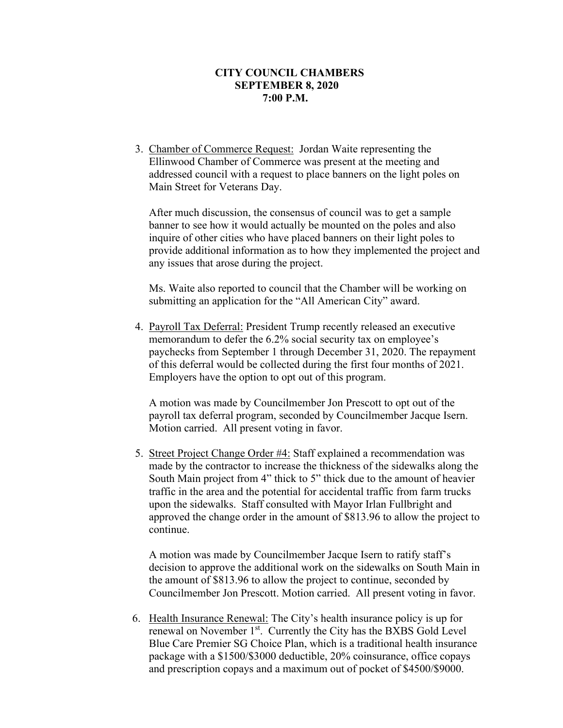3. Chamber of Commerce Request: Jordan Waite representing the Ellinwood Chamber of Commerce was present at the meeting and addressed council with a request to place banners on the light poles on Main Street for Veterans Day.

After much discussion, the consensus of council was to get a sample banner to see how it would actually be mounted on the poles and also inquire of other cities who have placed banners on their light poles to provide additional information as to how they implemented the project and any issues that arose during the project.

Ms. Waite also reported to council that the Chamber will be working on submitting an application for the "All American City" award.

4. Payroll Tax Deferral: President Trump recently released an executive memorandum to defer the 6.2% social security tax on employee's paychecks from September 1 through December 31, 2020. The repayment of this deferral would be collected during the first four months of 2021. Employers have the option to opt out of this program.

A motion was made by Councilmember Jon Prescott to opt out of the payroll tax deferral program, seconded by Councilmember Jacque Isern. Motion carried. All present voting in favor.

5. Street Project Change Order #4: Staff explained a recommendation was made by the contractor to increase the thickness of the sidewalks along the South Main project from 4" thick to 5" thick due to the amount of heavier traffic in the area and the potential for accidental traffic from farm trucks upon the sidewalks. Staff consulted with Mayor Irlan Fullbright and approved the change order in the amount of \$813.96 to allow the project to continue.

A motion was made by Councilmember Jacque Isern to ratify staff's decision to approve the additional work on the sidewalks on South Main in the amount of \$813.96 to allow the project to continue, seconded by Councilmember Jon Prescott. Motion carried. All present voting in favor.

6. Health Insurance Renewal: The City's health insurance policy is up for renewal on November 1<sup>st</sup>. Currently the City has the BXBS Gold Level Blue Care Premier SG Choice Plan, which is a traditional health insurance package with a \$1500/\$3000 deductible, 20% coinsurance, office copays and prescription copays and a maximum out of pocket of \$4500/\$9000.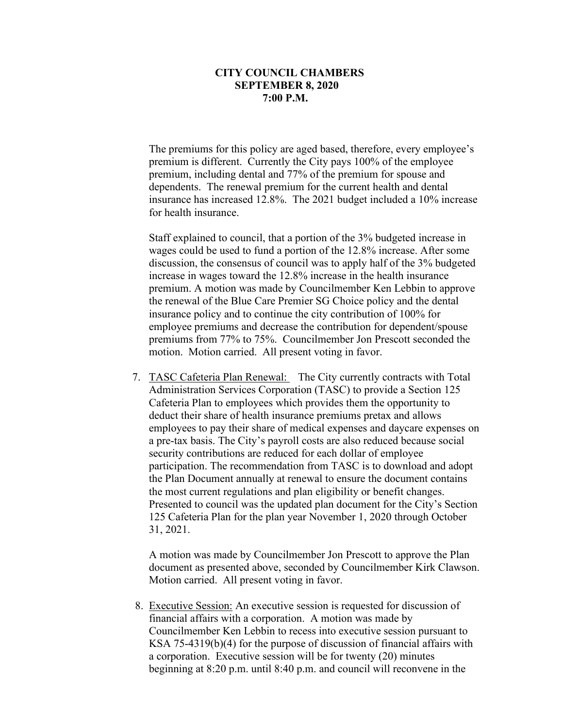The premiums for this policy are aged based, therefore, every employee's premium is different. Currently the City pays 100% of the employee premium, including dental and 77% of the premium for spouse and dependents. The renewal premium for the current health and dental insurance has increased 12.8%. The 2021 budget included a 10% increase for health insurance.

Staff explained to council, that a portion of the 3% budgeted increase in wages could be used to fund a portion of the 12.8% increase. After some discussion, the consensus of council was to apply half of the 3% budgeted increase in wages toward the 12.8% increase in the health insurance premium. A motion was made by Councilmember Ken Lebbin to approve the renewal of the Blue Care Premier SG Choice policy and the dental insurance policy and to continue the city contribution of 100% for employee premiums and decrease the contribution for dependent/spouse premiums from 77% to 75%. Councilmember Jon Prescott seconded the motion. Motion carried. All present voting in favor.

7. TASC Cafeteria Plan Renewal: The City currently contracts with Total Administration Services Corporation (TASC) to provide a Section 125 Cafeteria Plan to employees which provides them the opportunity to deduct their share of health insurance premiums pretax and allows employees to pay their share of medical expenses and daycare expenses on a pre-tax basis. The City's payroll costs are also reduced because social security contributions are reduced for each dollar of employee participation. The recommendation from TASC is to download and adopt the Plan Document annually at renewal to ensure the document contains the most current regulations and plan eligibility or benefit changes. Presented to council was the updated plan document for the City's Section 125 Cafeteria Plan for the plan year November 1, 2020 through October 31, 2021.

A motion was made by Councilmember Jon Prescott to approve the Plan document as presented above, seconded by Councilmember Kirk Clawson. Motion carried. All present voting in favor.

8. Executive Session: An executive session is requested for discussion of financial affairs with a corporation. A motion was made by Councilmember Ken Lebbin to recess into executive session pursuant to KSA 75-4319(b)(4) for the purpose of discussion of financial affairs with a corporation. Executive session will be for twenty (20) minutes beginning at 8:20 p.m. until 8:40 p.m. and council will reconvene in the